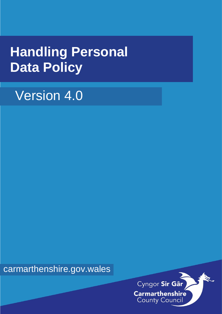# **Handling Personal Data Policy**

# Version 4.0

carmarthenshire.gov.wales

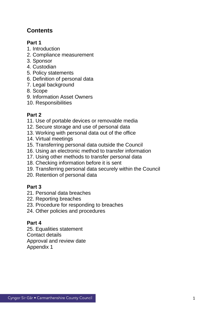# **Contents**

# **Part 1**

- 1. Introduction
- 2. Compliance measurement
- 3. Sponsor
- 4. Custodian
- 5. Policy statements
- 6. Definition of personal data
- 7. Legal background
- 8. Scope
- 9. Information Asset Owners
- 10. Responsibilities

# **Part 2**

- 11. Use of portable devices or removable media
- 12. Secure storage and use of personal data
- 13. Working with personal data out of the office
- 14. Virtual meetings
- 15. Transferring personal data outside the Council
- 16. Using an electronic method to transfer information
- 17. Using other methods to transfer personal data
- 18. Checking information before it is sent
- 19. Transferring personal data securely within the Council
- 20. Retention of personal data

# **Part 3**

- 21. Personal data breaches
- 22. Reporting breaches
- 23. Procedure for responding to breaches
- 24. Other policies and procedures

# **Part 4**

25. Equalities statement Contact details Approval and review date Appendix 1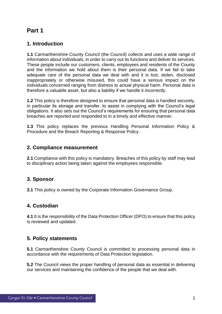# **1. Introduction**

**1.1** Carmarthenshire County Council (the Council) collects and uses a wide range of information about individuals, in order to carry out its functions and deliver its services. These people include our customers, clients, employees and residents of the County and the information we hold about them is their personal data. If we fail to take adequate care of the personal data we deal with and it is lost, stolen, disclosed inappropriately or otherwise misused, this could have a serious impact on the individuals concerned ranging from distress to actual physical harm. Personal data is therefore a valuable asset, but also a liability if we handle it incorrectly.

**1.2** This policy is therefore designed to ensure that personal data is handled securely, in particular its storage and transfer, to assist in complying with the Council's legal obligations. It also sets out the Council's requirements for ensuring that personal data breaches are reported and responded to in a timely and effective manner.

**1.3** This policy replaces the previous Handling Personal Information Policy & Procedure and the Breach Reporting & Response Policy.

## **2. Compliance measurement**

**2.1** Compliance with this policy is mandatory. Breaches of this policy by staff may lead to disciplinary action being taken against the employees responsible.

# **3. Sponsor**

**3.1** This policy is owned by the Corporate Information Governance Group.

# **4. Custodian**

**4.1** It is the responsibility of the Data Protection Officer (DPO) to ensure that this policy is reviewed and updated.

# **5. Policy statements**

**5.1** Carmarthenshire County Council is committed to processing personal data in accordance with the requirements of Data Protection legislation.

**5.2** The Council views the proper handling of personal data as essential in delivering our services and maintaining the confidence of the people that we deal with.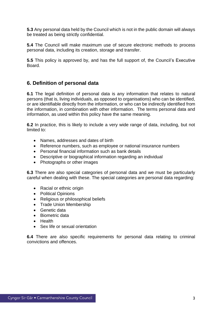**5.3** Any personal data held by the Council which is not in the public domain will always be treated as being strictly confidential.

**5.4** The Council will make maximum use of secure electronic methods to process personal data, including its creation, storage and transfer.

**5.5** This policy is approved by, and has the full support of, the Council's Executive Board.

## **6. Definition of personal data**

**6.1** The legal definition of personal data is any information that relates to natural persons (that is, living individuals, as opposed to organisations) who can be identified, or are identifiable directly from the information, or who can be indirectly identified from the information, in combination with other information. The terms personal data and information, as used within this policy have the same meaning.

**6.2** In practice, this is likely to include a very wide range of data, including, but not limited to:

- Names, addresses and dates of birth
- Reference numbers, such as employee or national insurance numbers
- Personal financial information such as bank details
- Descriptive or biographical information regarding an individual
- Photographs or other images

**6.3** There are also special categories of personal data and we must be particularly careful when dealing with these. The special categories are personal data regarding:

- Racial or ethnic origin
- Political Opinions
- Religious or philosophical beliefs
- Trade Union Membership
- Genetic data
- Biometric data
- Health
- Sex life or sexual orientation

**6.4** There are also specific requirements for personal data relating to criminal convictions and offences.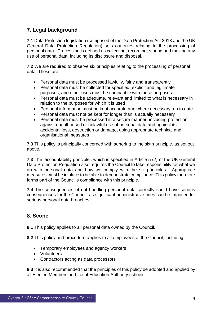# **7. Legal background**

**7.1** Data Protection legislation (comprised of the Data Protection Act 2018 and the UK General Data Protection Regulation) sets out rules relating to the processing of personal data. Processing is defined as collecting, recording, storing and making any use of personal data, including its disclosure and disposal.

**7.2** We are required to observe six principles relating to the processing of personal data. These are:

- Personal data must be processed lawfully, fairly and transparently
- Personal data must be collected for specified, explicit and legitimate purposes, and other uses must be compatible with these purposes
- Personal data must be adequate, relevant and limited to what is necessary in relation to the purposes for which it is used
- Personal information must be kept accurate and where necessary, up to date
- Personal data must not be kept for longer than is actually necessary
- Personal data must be processed in a secure manner, including protection against unauthorised or unlawful use of personal data and against its accidental loss, destruction or damage, using appropriate technical and organisational measures

**7.3** This policy is principally concerned with adhering to the sixth principle, as set out above.

**7.3** The 'accountability principle', which is specified in Article 5 (2) of the UK General Data Protection Regulation also requires the Council to take responsibility for what we do with personal data and how we comply with the six principles. Appropriate measures must be in place to be able to demonstrate compliance. This policy therefore forms part of the Council's compliance with this principle.

**7.4** The consequences of not handling personal data correctly could have serious consequences for the Council, as significant administrative fines can be imposed for serious personal data breaches.

# **8. Scope**

**8.1** This policy applies to all personal data owned by the Council.

**8.2** This policy and procedure applies to all employees of the Council, including:

- Temporary employees and agency workers
- Volunteers
- Contractors acting as data processors

**8.3** It is also recommended that the principles of this policy be adopted and applied by all Elected Members and Local Education Authority schools.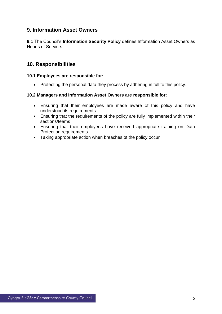## **9. Information Asset Owners**

**9.1** The Council's **Information Security Policy** defines Information Asset Owners as Heads of Service.

## **10. Responsibilities**

#### **10.1 Employees are responsible for:**

• Protecting the personal data they process by adhering in full to this policy.

#### **10.2 Managers and Information Asset Owners are responsible for:**

- Ensuring that their employees are made aware of this policy and have understood its requirements
- Ensuring that the requirements of the policy are fully implemented within their sections/teams
- Ensuring that their employees have received appropriate training on Data Protection requirements
- Taking appropriate action when breaches of the policy occur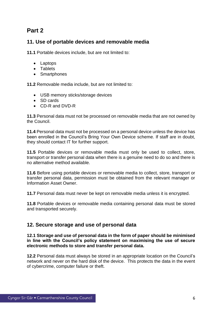# **11. Use of portable devices and removable media**

**11.1** Portable devices include, but are not limited to:

- Laptops
- Tablets
- Smartphones

**11.2** Removable media include, but are not limited to:

- USB memory sticks/storage devices
- SD cards
- CD-R and DVD-R

**11.3** Personal data must not be processed on removable media that are not owned by the Council.

**11.4** Personal data must not be processed on a personal device unless the device has been enrolled in the Council's Bring Your Own Device scheme. If staff are in doubt, they should contact IT for further support.

**11.5** Portable devices or removable media must only be used to collect, store, transport or transfer personal data when there is a genuine need to do so and there is no alternative method available.

**11.6** Before using portable devices or removable media to collect, store, transport or transfer personal data, permission must be obtained from the relevant manager or Information Asset Owner.

**11.7** Personal data must never be kept on removable media unless it is encrypted.

**11.8** Portable devices or removable media containing personal data must be stored and transported securely.

## **12. Secure storage and use of personal data**

#### **12.1 Storage and use of personal data in the form of paper should be minimised in line with the Council's policy statement on maximising the use of secure electronic methods to store and transfer personal data.**

**12.2** Personal data must always be stored in an appropriate location on the Council's network and never on the hard disk of the device. This protects the data in the event of cybercrime, computer failure or theft.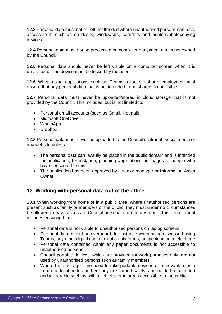**12.3** Personal data must not be left unattended where unauthorised persons can have access to it, such as on desks, windowsills, corridors and printers/photocopying devices.

**12.4** Personal data must not be processed on computer equipment that is not owned by the Council.

**12.5** Personal data should never be left visible on a computer screen when it is unattended - the device must be locked by the user.

**12.6** When using applications such as Teams to screen-share, employees must ensure that any personal data that is not intended to be shared is not visible.

**12.7** Personal data must never be uploaded/stored in cloud storage that is not provided by the Council. This includes, but is not limited to:

- Personal email accounts (such as Gmail, Hotmail)
- Microsoft OneDrive
- WhatsApp
- Dropbox

**12.8** Personal data must never be uploaded to the Council's intranet, social media or any website unless:

- The personal data can lawfully be placed in the public domain and is intended for publication, for instance, planning applications or images of people who have consented to this
- The publication has been approved by a senior manager or Information Asset Owner

## **13. Working with personal data out of the office**

**13.1** When working from home or in a public area, where unauthorised persons are present such as family or members of the public, they must under no circumstances be allowed to have access to Council personal data in any form. This requirement includes ensuring that:

- Personal data is not visible to unauthorised persons on laptop screens
- Personal data cannot be overheard, for instance when being discussed using Teams, any other digital communication platforms, or speaking on a telephone
- Personal data contained within any paper documents is not accessible to unauthorised persons
- Council portable devices, which are provided for work purposes only, are not used by unauthorised persons such as family members
- Where there is a genuine need to take portable devices or removable media from one location to another, they are carried safely, and not left unattended and vulnerable such as within vehicles or in areas accessible to the public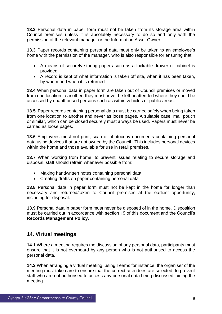**13.2** Personal data in paper form must not be taken from its storage area within Council premises unless it is absolutely necessary to do so and only with the permission of the relevant manager or the Information Asset Owner.

**13.3** Paper records containing personal data must only be taken to an employee's home with the permission of the manager, who is also responsible for ensuring that:

- A means of securely storing papers such as a lockable drawer or cabinet is provided
- A record is kept of what information is taken off site, when it has been taken, by whom and when it is returned

**13.4** When personal data in paper form are taken out of Council premises or moved from one location to another, they must never be left unattended where they could be accessed by unauthorised persons such as within vehicles or public areas.

**13.5** Paper records containing personal data must be carried safely when being taken from one location to another and never as loose pages. A suitable case, mail pouch or similar, which can be closed securely must always be used. Papers must never be carried as loose pages.

**13.6** Employees must not print, scan or photocopy documents containing personal data using devices that are not owned by the Council. This includes personal devices within the home and those available for use in retail premises.

**13.7** When working from home, to prevent issues relating to secure storage and disposal, staff should refrain whenever possible from:

- Making handwritten notes containing personal data
- Creating drafts on paper containing personal data

**13.8** Personal data in paper form must not be kept in the home for longer than necessary and returned/taken to Council premises at the earliest opportunity, including for disposal.

**13.9** Personal data in paper form must never be disposed of in the home. Disposition must be carried out in accordance with section 19 of this document and the Council's **Records Management Policy.**

## **14. Virtual meetings**

**14.1** Where a meeting requires the discussion of any personal data, participants must ensure that it is not overheard by any person who is not authorised to access the personal data.

**14.2** When arranging a virtual meeting, using Teams for instance, the organiser of the meeting must take care to ensure that the correct attendees are selected, to prevent staff who are not authorised to access any personal data being discussed joining the meeting.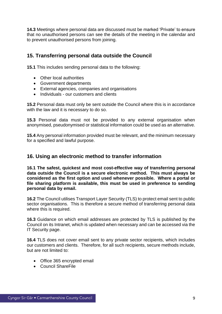**14.3** Meetings where personal data are discussed must be marked 'Private' to ensure that no unauthorised persons can see the details of the meeting in the calendar and to prevent unauthorised persons from joining.

# **15. Transferring personal data outside the Council**

**15.1** This includes sending personal data to the following:

- Other local authorities
- Government departments
- External agencies, companies and organisations
- Individuals our customers and clients

**15.2** Personal data must only be sent outside the Council where this is in accordance with the law and it is necessary to do so.

**15.3** Personal data must not be provided to any external organisation when anonymised, pseudonymised or statistical information could be used as an alternative.

**15.4** Any personal information provided must be relevant, and the minimum necessary for a specified and lawful purpose.

## **16. Using an electronic method to transfer information**

**16.1 The safest, quickest and most cost-effective way of transferring personal data outside the Council is a secure electronic method. This must always be considered as the first option and used whenever possible. Where a portal or file sharing platform is available, this must be used in preference to sending personal data by email.**

**16.2** The Council utilises Transport Layer Security (TLS) to protect email sent to public sector organisations. This is therefore a secure method of transferring personal data where this is required.

**16.3** Guidance on which email addresses are protected by TLS is published by the Council on its Intranet, which is updated when necessary and can be accessed via the IT Security page.

**16.4** TLS does not cover email sent to any private sector recipients, which includes our customers and clients. Therefore, for all such recipients, secure methods include, but are not limited to:

- Office 365 encrypted email
- Council ShareFile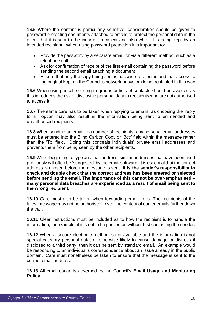**16.5** Where the content is particularly sensitive, consideration should be given to password protecting documents attached to emails to protect the personal data in the event that it is sent to the incorrect recipient and also whilst it is being kept by an intended recipient. When using password protection it is important to:

- Provide the password by a separate email, or via a different method, such as a telephone call
- Ask for confirmation of receipt of the first email containing the password before sending the second email attaching a document
- Ensure that only the copy being sent is password protected and that access to the original kept on the Council's network or system is not restricted in this way

**16.6** When using email, sending to groups or lists of contacts should be avoided as this introduces the risk of disclosing personal data to recipients who are not authorised to access it.

**16.7** The same care has to be taken when replying to emails, as choosing the 'reply to all' option may also result in the information being sent to unintended and unauthorised recipients.

**16.8** When sending an email to a number of recipients, any personal email addresses must be entered into the Blind Carbon Copy or 'Bcc' field within the message rather than the 'To' field. Doing this conceals individuals' private email addresses and prevents them from being seen by the other recipients.

**16.9** When beginning to type an email address, similar addresses that have been used previously will often be 'suggested' by the email software. It is essential that the correct address is chosen before the message is sent. **It is the sender's responsibility to check and double check that the correct address has been entered or selected before sending the email. The importance of this cannot be over-emphasised – many personal data breaches are experienced as a result of email being sent to the wrong recipient.**

**16.10** Care must also be taken when forwarding email trails. The recipients of the latest message may not be authorised to see the content of earlier emails further down the trail.

**16.11** Clear instructions must be included as to how the recipient is to handle the information, for example, if it is not to be passed on without first contacting the sender.

**16.12** When a secure electronic method is not available and the information is not special category personal data, or otherwise likely to cause damage or distress if disclosed to a third party, then it can be sent by standard email. An example would be responding to an individual's correspondence about an issue already in the public domain. Care must nonetheless be taken to ensure that the message is sent to the correct email address.

**16.13** All email usage is governed by the Council's **Email Usage and Monitoring Policy**.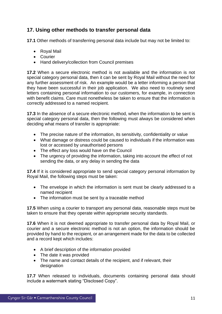# **17. Using other methods to transfer personal data**

**17.1** Other methods of transferring personal data include but may not be limited to:

- Royal Mail
- Courier
- Hand delivery/collection from Council premises

**17.2** When a secure electronic method is not available and the information is not special category personal data, then it can be sent by Royal Mail without the need for any further assessment of risk. An example would be a letter informing a person that they have been successful in their job application. We also need to routinely send letters containing personal information to our customers, for example, in connection with benefit claims. Care must nonetheless be taken to ensure that the information is correctly addressed to a named recipient.

**17.3** In the absence of a secure electronic method, when the information to be sent is special category personal data, then the following must always be considered when deciding what means of transfer is appropriate:

- The precise nature of the information, its sensitivity, confidentiality or value
- What damage or distress could be caused to individuals if the information was lost or accessed by unauthorised persons
- The effect any loss would have on the Council
- The urgency of providing the information, taking into account the effect of not sending the data, or any delay in sending the data

**17.4** If it is considered appropriate to send special category personal information by Royal Mail, the following steps must be taken:

- The envelope in which the information is sent must be clearly addressed to a named recipient
- The information must be sent by a traceable method

**17.5** When using a courier to transport any personal data, reasonable steps must be taken to ensure that they operate within appropriate security standards.

**17.6** When it is not deemed appropriate to transfer personal data by Royal Mail, or courier and a secure electronic method is not an option, the information should be provided by hand to the recipient, or an arrangement made for the data to be collected and a record kept which includes:

- A brief description of the information provided
- The date it was provided
- The name and contact details of the recipient, and if relevant, their designation

**17.7** When released to individuals, documents containing personal data should include a watermark stating "Disclosed Copy".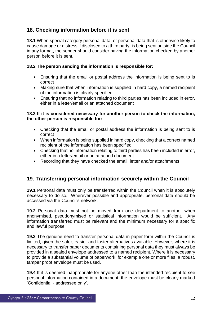# **18. Checking information before it is sent**

**18.1** When special category personal data, or personal data that is otherwise likely to cause damage or distress if disclosed to a third party, is being sent outside the Council in any format, the sender should consider having the information checked by another person before it is sent.

#### **18.2 The person sending the information is responsible for:**

- Ensuring that the email or postal address the information is being sent to is correct
- Making sure that when information is supplied in hard copy, a named recipient of the information is clearly specified
- Ensuring that no information relating to third parties has been included in error, either in a letter/email or an attached document

#### **18.3 If it is considered necessary for another person to check the information, the other person is responsible for:**

- Checking that the email or postal address the information is being sent to is correct
- When information is being supplied in hard copy, checking that a correct named recipient of the information has been specified
- Checking that no information relating to third parties has been included in error, either in a letter/email or an attached document
- Recording that they have checked the email, letter and/or attachments

# **19. Transferring personal information securely within the Council**

**19.1** Personal data must only be transferred within the Council when it is absolutely necessary to do so. Wherever possible and appropriate, personal data should be accessed via the Council's network.

**19.2** Personal data must not be moved from one department to another when anonymised, pseudonymised or statistical information would be sufficient. Any information transferred must be relevant and the minimum necessary for a specific and lawful purpose.

**19.3** The genuine need to transfer personal data in paper form within the Council is limited, given the safer, easier and faster alternatives available. However, where it is necessary to transfer paper documents containing personal data they must always be provided in a sealed envelope addressed to a named recipient. Where it is necessary to provide a substantial volume of paperwork, for example one or more files, a robust, tamper proof envelope must be used.

**19.4** If it is deemed inappropriate for anyone other than the intended recipient to see personal information contained in a document, the envelope must be clearly marked 'Confidential - addressee only'.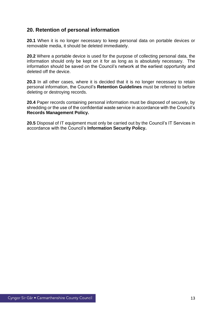# **20. Retention of personal information**

**20.1** When it is no longer necessary to keep personal data on portable devices or removable media, it should be deleted immediately.

**20.2** Where a portable device is used for the purpose of collecting personal data, the information should only be kept on it for as long as is absolutely necessary. The information should be saved on the Council's network at the earliest opportunity and deleted off the device.

**20.3** In all other cases, where it is decided that it is no longer necessary to retain personal information, the Council's **Retention Guidelines** must be referred to before deleting or destroying records.

**20.4** Paper records containing personal information must be disposed of securely, by shredding or the use of the confidential waste service in accordance with the Council's **Records Management Policy.**

**20.5** Disposal of IT equipment must only be carried out by the Council's IT Services in accordance with the Council's **Information Security Policy.**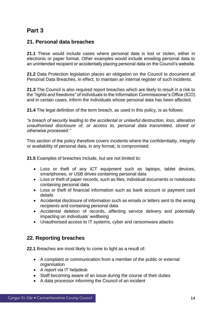# **21. Personal data breaches**

**21.1** These would include cases where personal data is lost or stolen, either in electronic or paper format. Other examples would include emailing personal data to an unintended recipient or accidentally placing personal data on the Council's website.

**21.2** Data Protection legislation places an obligation on the Council to document all Personal Data Breaches, in effect, to maintain an internal register of such incidents.

**21.3** The Council is also required report breaches which are likely to result in a risk to the *"rights and freedoms"* of individuals to the Information Commissioner's Office (ICO) and in certain cases, inform the individuals whose personal data has been affected.

**21.4** The legal definition of the term breach, as used in this policy, is as follows:

*"a breach of security leading to the accidental or unlawful destruction, loss, alteration unauthorised disclosure of, or access to, personal data transmitted, stored or otherwise processed."*

This section of the policy therefore covers incidents where the confidentiality, integrity or availability of personal data, in any format, is compromised.

**21.5** Examples of breaches include, but are not limited to:

- Loss or theft of any ICT equipment such as laptops, tablet devices, smartphones, or USB drives containing personal data
- Loss or theft of paper records, such as files, individual documents or notebooks containing personal data
- Loss or theft of financial information such as bank account or payment card details
- Accidental disclosure of information such as emails or letters sent to the wrong recipients and containing personal data
- Accidental deletion of records, affecting service delivery and potentially impacting on individuals' wellbeing
- Unauthorised access to IT systems, cyber and ransomware attacks

# **22. Reporting breaches**

**22.1** Breaches are most likely to come to light as a result of:

- A complaint or communication from a member of the public or external organisation
- A report via IT helpdesk
- Staff becoming aware of an issue during the course of their duties
- A data processor informing the Council of an incident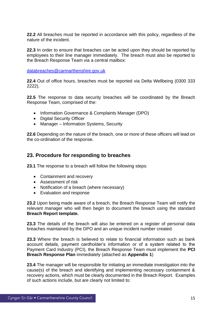**22.2** All breaches must be reported in accordance with this policy, regardless of the nature of the incident.

**22.3** In order to ensure that breaches can be acted upon they should be reported by employees to their line manager immediately. The breach must also be reported to the Breach Response Team via a central mailbox:

[databreaches@carmarthenshire.gov.uk](mailto:databreaches@carmarthenshire.gov.uk)

**22.4** Out of office hours, breaches must be reported via Delta Wellbeing (0300 333 2222).

**22.5** The response to data security breaches will be coordinated by the Breach Response Team, comprised of the:

- Information Governance & Complaints Manager (DPO)
- Digital Security Officer
- Manager Information Systems, Security

**22.6** Depending on the nature of the breach, one or more of these officers will lead on the co-ordination of the response.

## **23. Procedure for responding to breaches**

**23.1** The response to a breach will follow the following steps:

- Containment and recovery
- Assessment of risk
- Notification of a breach (where necessary)
- Evaluation and response

**23.2** Upon being made aware of a breach, the Breach Response Team will notify the relevant manager who will then begin to document the breach using the standard **Breach Report template.**

**23.3** The details of the breach will also be entered on a register of personal data breaches maintained by the DPO and an unique incident number created.

**23.3** Where the breach is believed to relate to financial information such as bank account details, payment cardholder's information or of a system related to the Payment Card Industry (PCI), the Breach Response Team must implement the **PCI Breach Response Plan** immediately (attached as **Appendix 1**)

**23.4** The manager will be responsible for initiating an immediate investigation into the cause(s) of the breach and identifying and implementing necessary containment & recovery actions, which must be clearly documented in the Breach Report. Examples of such actions include, but are clearly not limited to: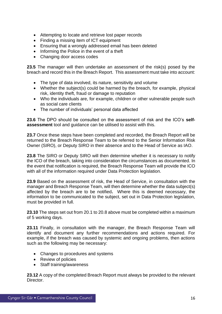- Attempting to locate and retrieve lost paper records
- Finding a missing item of ICT equipment
- Ensuring that a wrongly addressed email has been deleted
- Informing the Police in the event of a theft
- Changing door access codes

**23.5** The manager will then undertake an assessment of the risk(s) posed by the breach and record this in the Breach Report. This assessment must take into account:

- The type of data involved, its nature, sensitivity and volume
- Whether the subject(s) could be harmed by the breach, for example, physical risk, identity theft, fraud or damage to reputation
- Who the individuals are, for example, children or other vulnerable people such as social care clients
- The number of individuals' personal data affected

**23.6** The DPO should be consulted on the assessment of risk and the ICO's **selfassessment** tool and guidance can be utilised to assist with this.

**23.7** Once these steps have been completed and recorded, the Breach Report will be returned to the Breach Response Team to be referred to the Senior Information Risk Owner (SIRO), or Deputy SIRO in their absence and to the Head of Service as IAO.

**23.8** The SIRO or Deputy SIRO will then determine whether it is necessary to notify the ICO of the breach, taking into consideration the circumstances as documented. In the event that notification is required, the Breach Response Team will provide the ICO with all of the information required under Data Protection legislation.

**23.9** Based on the assessment of risk, the Head of Service, in consultation with the manager and Breach Response Team, will then determine whether the data subject(s) affected by the breach are to be notified**.** Where this is deemed necessary, the information to be communicated to the subject, set out in Data Protection legislation, must be provided in full.

**23.10** The steps set out from 20.1 to 20.8 above must be completed within a maximum of 5 working days.

**23.11** Finally, in consultation with the manager, the Breach Response Team will identify and document any further recommendations and actions required. For example, if the breach was caused by systemic and ongoing problems, then actions such as the following may be necessary:

- Changes to procedures and systems
- Review of policies
- Staff training/awareness

**23.12** A copy of the completed Breach Report must always be provided to the relevant Director.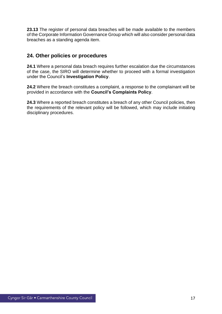**23.13** The register of personal data breaches will be made available to the members of the Corporate Information Governance Group which will also consider personal data breaches as a standing agenda item.

# **24. Other policies or procedures**

**24.1** Where a personal data breach requires further escalation due the circumstances of the case, the SIRO will determine whether to proceed with a formal investigation under the Council's **Investigation Policy**.

**24.2** Where the breach constitutes a complaint, a response to the complainant will be provided in accordance with the **Council's Complaints Policy**.

**24.3** Where a reported breach constitutes a breach of any other Council policies, then the requirements of the relevant policy will be followed, which may include initiating disciplinary procedures.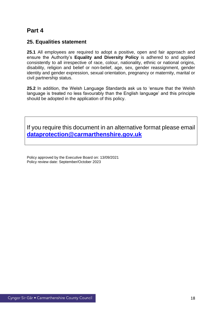## **25. Equalities statement**

**25.1** All employees are required to adopt a positive, open and fair approach and ensure the Authority's **Equality and Diversity Policy** is adhered to and applied consistently to all irrespective of race, colour, nationality, ethnic or national origins, disability, religion and belief or non-belief, age, sex, gender reassignment, gender identity and gender expression, sexual orientation, pregnancy or maternity, marital or civil partnership status.

**25.2** In addition, the Welsh Language Standards ask us to 'ensure that the Welsh language is treated no less favourably than the English language' and this principle should be adopted in the application of this policy.

If you require this document in an alternative format please email **[dataprotection@carmarthenshire.gov.uk](mailto:dataprotection@carmarthenshire.gov.uk)**

Policy approved by the Executive Board on: 13/09/2021 Policy review date: September/October 2023